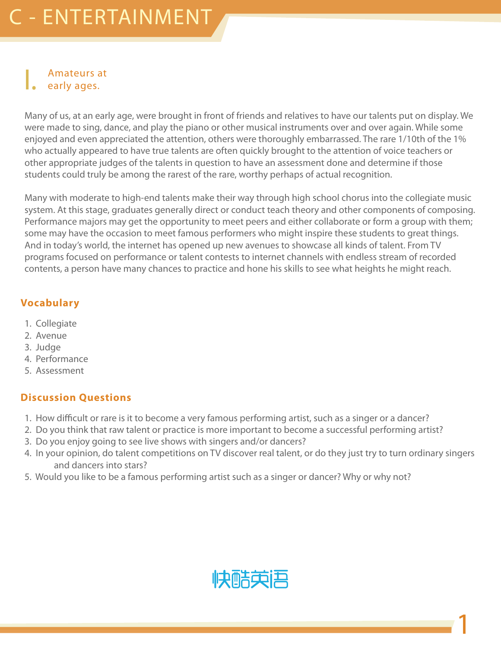### C - ENTERTAINMENT

#### I. Amateurs at early ages.

Many of us, at an early age, were brought in front of friends and relatives to have our talents put on display. We were made to sing, dance, and play the piano or other musical instruments over and over again. While some enjoyed and even appreciated the attention, others were thoroughly embarrassed. The rare 1/10th of the 1% who actually appeared to have true talents are often quickly brought to the attention of voice teachers or other appropriate judges of the talents in question to have an assessment done and determine if those students could truly be among the rarest of the rare, worthy perhaps of actual recognition.

Many with moderate to high-end talents make their way through high school chorus into the collegiate music system. At this stage, graduates generally direct or conduct teach theory and other components of composing. Performance majors may get the opportunity to meet peers and either collaborate or form a group with them; some may have the occasion to meet famous performers who might inspire these students to great things. And in today's world, the internet has opened up new avenues to showcase all kinds of talent. From TV programs focused on performance or talent contests to internet channels with endless stream of recorded contents, a person have many chances to practice and hone his skills to see what heights he might reach.

#### **Vocabulary**

- 1. Collegiate
- 2. Avenue
- 3. Judge
- 4. Performance
- 5. Assessment

#### **Discussion Questions**

- 1. How difficult or rare is it to become a very famous performing artist, such as a singer or a dancer?
- 2. Do you think that raw talent or practice is more important to become a successful performing artist?
- 3. Do you enjoy going to see live shows with singers and/or dancers?
- 4. In your opinion, do talent competitions on TV discover real talent, or do they just try to turn ordinary singers and dancers into stars?
- 5. Would you like to be a famous performing artist such as a singer or dancer? Why or why not?



1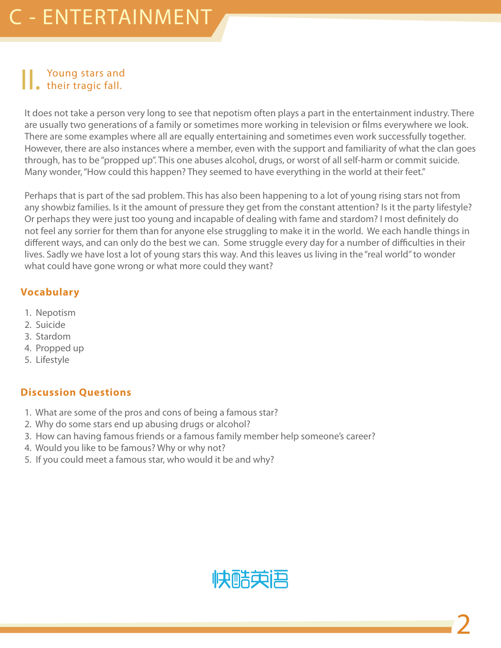### II. Young stars and their tragic fall.

It does not take a person very long to see that nepotism often plays a part in the entertainment industry. There are usually two generations of a family or sometimes more working in television or films everywhere we look. There are some examples where all are equally entertaining and sometimes even work successfully together. However, there are also instances where a member, even with the support and familiarity of what the clan goes through, has to be "propped up". This one abuses alcohol, drugs, or worst of all self-harm or commit suicide. Many wonder, "How could this happen? They seemed to have everything in the world at their feet."

Perhaps that is part of the sad problem. This has also been happening to a lot of young rising stars not from any showbiz families. Is it the amount of pressure they get from the constant attention? Is it the party lifestyle? Or perhaps they were just too young and incapable of dealing with fame and stardom? I most definitely do not feel any sorrier for them than for anyone else struggling to make it in the world. We each handle things in different ways, and can only do the best we can. Some struggle every day for a number of difficulties in their lives. Sadly we have lost a lot of young stars this way. And this leaves us living in the "real world" to wonder what could have gone wrong or what more could they want?

#### **Vocabulary**

- 1. Nepotism
- 2. Suicide
- 3. Stardom
- 4. Propped up
- 5. Lifestyle

- 1. What are some of the pros and cons of being a famous star?
- 2. Why do some stars end up abusing drugs or alcohol?
- 3. How can having famous friends or a famous family member help someone's career?
- 4. Would you like to be famous? Why or why not?
- 5. If you could meet a famous star, who would it be and why?

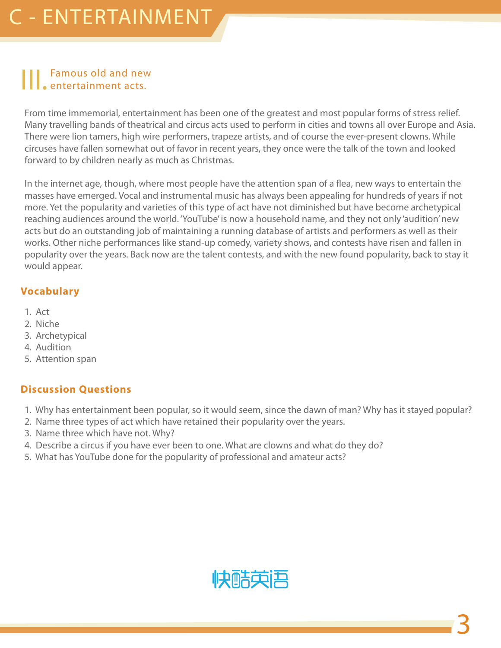### Famous old and new entertainment acts.

From time immemorial, entertainment has been one of the greatest and most popular forms of stress relief. Many travelling bands of theatrical and circus acts used to perform in cities and towns all over Europe and Asia. There were lion tamers, high wire performers, trapeze artists, and of course the ever-present clowns. While circuses have fallen somewhat out of favor in recent years, they once were the talk of the town and looked forward to by children nearly as much as Christmas.

In the internet age, though, where most people have the attention span of a flea, new ways to entertain the masses have emerged. Vocal and instrumental music has always been appealing for hundreds of years if not more. Yet the popularity and varieties of this type of act have not diminished but have become archetypical reaching audiences around the world. 'YouTube' is now a household name, and they not only 'audition' new acts but do an outstanding job of maintaining a running database of artists and performers as well as their works. Other niche performances like stand-up comedy, variety shows, and contests have risen and fallen in popularity over the years. Back now are the talent contests, and with the new found popularity, back to stay it would appear.

#### **Vocabulary**

- 1. Act
- 2. Niche
- 3. Archetypical
- 4. Audition
- 5. Attention span

- 1. Why has entertainment been popular, so it would seem, since the dawn of man? Why has it stayed popular?
- 2. Name three types of act which have retained their popularity over the years.
- 3. Name three which have not. Why?
- 4. Describe a circus if you have ever been to one. What are clowns and what do they do?
- 5. What has YouTube done for the popularity of professional and amateur acts?

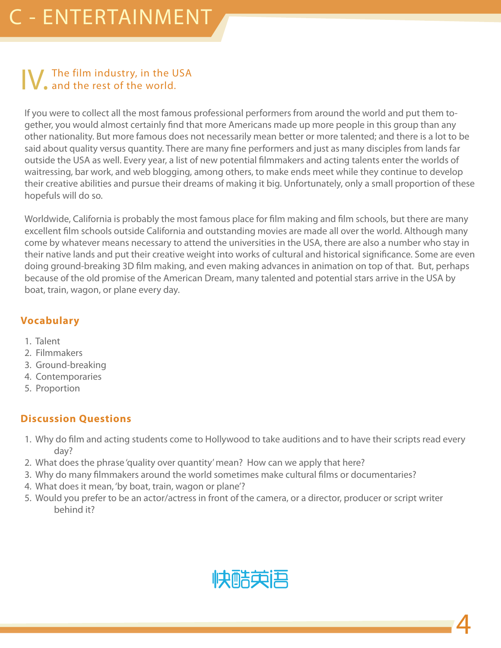# **IV.** The film industry, in the USA and the rest of the world.

If you were to collect all the most famous professional performers from around the world and put them together, you would almost certainly find that more Americans made up more people in this group than any other nationality. But more famous does not necessarily mean better or more talented; and there is a lot to be said about quality versus quantity. There are many fine performers and just as many disciples from lands far outside the USA as well. Every year, a list of new potential filmmakers and acting talents enter the worlds of waitressing, bar work, and web blogging, among others, to make ends meet while they continue to develop their creative abilities and pursue their dreams of making it big. Unfortunately, only a small proportion of these hopefuls will do so.

Worldwide, California is probably the most famous place for film making and film schools, but there are many excellent film schools outside California and outstanding movies are made all over the world. Although many come by whatever means necessary to attend the universities in the USA, there are also a number who stay in their native lands and put their creative weight into works of cultural and historical significance. Some are even doing ground-breaking 3D film making, and even making advances in animation on top of that. But, perhaps because of the old promise of the American Dream, many talented and potential stars arrive in the USA by boat, train, wagon, or plane every day.

#### **Vocabulary**

- 1. Talent
- 2. Filmmakers
- 3. Ground-breaking
- 4. Contemporaries
- 5. Proportion

- 1. Why do film and acting students come to Hollywood to take auditions and to have their scripts read every day?
- 2. What does the phrase 'quality over quantity' mean? How can we apply that here?
- 3. Why do many filmmakers around the world sometimes make cultural films or documentaries?
- 4. What does it mean, 'by boat, train, wagon or plane'?
- 5. Would you prefer to be an actor/actress in front of the camera, or a director, producer or script writer behind it?